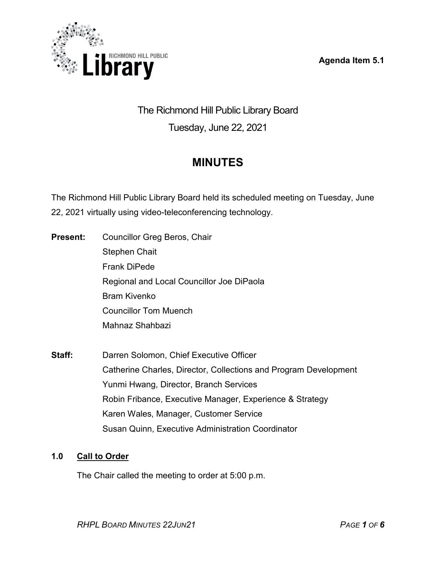**Agenda Item 5.1**



The Richmond Hill Public Library Board Tuesday, June 22, 2021

# **MINUTES**

The Richmond Hill Public Library Board held its scheduled meeting on Tuesday, June 22, 2021 virtually using video-teleconferencing technology.

- **Present:** Councillor Greg Beros, Chair Stephen Chait Frank DiPede Regional and Local Councillor Joe DiPaola Bram Kivenko Councillor Tom Muench Mahnaz Shahbazi
- **Staff:** Darren Solomon, Chief Executive Officer Catherine Charles, Director, Collections and Program Development Yunmi Hwang, Director, Branch Services Robin Fribance, Executive Manager, Experience & Strategy Karen Wales, Manager, Customer Service Susan Quinn, Executive Administration Coordinator

# **1.0 Call to Order**

The Chair called the meeting to order at 5:00 p.m.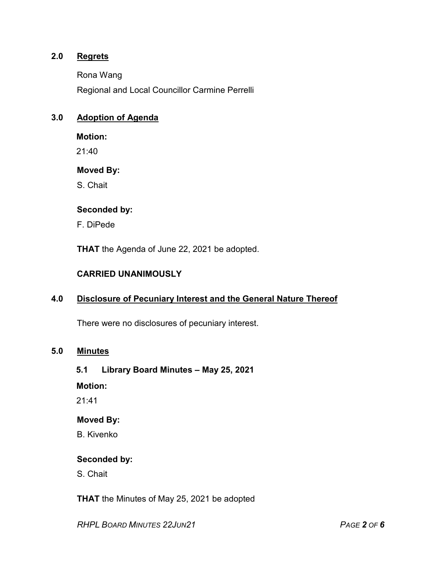## **2.0 Regrets**

Rona Wang

Regional and Local Councillor Carmine Perrelli

## **3.0 Adoption of Agenda**

#### **Motion:**

21:40

#### **Moved By:**

S. Chait

## **Seconded by:**

F. DiPede

**THAT** the Agenda of June 22, 2021 be adopted.

## **CARRIED UNANIMOUSLY**

## **4.0 Disclosure of Pecuniary Interest and the General Nature Thereof**

There were no disclosures of pecuniary interest.

## **5.0 Minutes**

#### **5.1 Library Board Minutes – May 25, 2021**

**Motion:**

21:41

## **Moved By:**

B. Kivenko

#### **Seconded by:**

S. Chait

**THAT** the Minutes of May 25, 2021 be adopted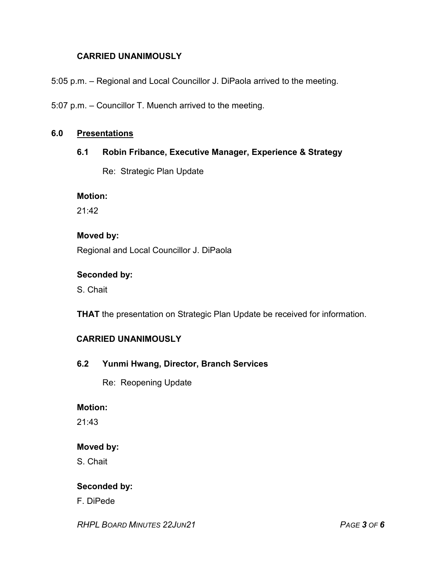## **CARRIED UNANIMOUSLY**

5:05 p.m. – Regional and Local Councillor J. DiPaola arrived to the meeting.

5:07 p.m. – Councillor T. Muench arrived to the meeting.

#### **6.0 Presentations**

## **6.1 Robin Fribance, Executive Manager, Experience & Strategy**

Re: Strategic Plan Update

#### **Motion:**

21:42

#### **Moved by:**

Regional and Local Councillor J. DiPaola

#### **Seconded by:**

S. Chait

**THAT** the presentation on Strategic Plan Update be received for information.

## **CARRIED UNANIMOUSLY**

**6.2 Yunmi Hwang, Director, Branch Services**

Re: Reopening Update

#### **Motion:**

21:43

## **Moved by:**

S. Chait

## **Seconded by:**

F. DiPede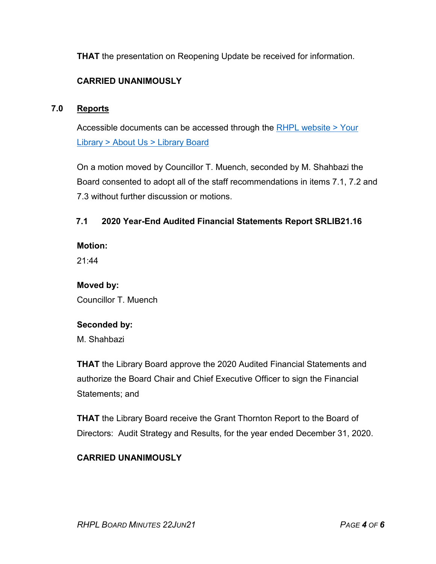**THAT** the presentation on Reopening Update be received for information.

# **CARRIED UNANIMOUSLY**

## **7.0 Reports**

Accessible documents can be accessed through the [RHPL website > Your](https://www.rhpl.ca/your-library/about-us/library-board)  Library [> About Us > Library](https://www.rhpl.ca/your-library/about-us/library-board) Board

On a motion moved by Councillor T. Muench, seconded by M. Shahbazi the Board consented to adopt all of the staff recommendations in items 7.1, 7.2 and 7.3 without further discussion or motions.

## **7.1 2020 Year-End Audited Financial Statements Report SRLIB21.16**

**Motion:** 

21:44

# **Moved by:** Councillor T. Muench

# **Seconded by:**

M. Shahbazi

**THAT** the Library Board approve the 2020 Audited Financial Statements and authorize the Board Chair and Chief Executive Officer to sign the Financial Statements; and

**THAT** the Library Board receive the Grant Thornton Report to the Board of Directors: Audit Strategy and Results, for the year ended December 31, 2020.

# **CARRIED UNANIMOUSLY**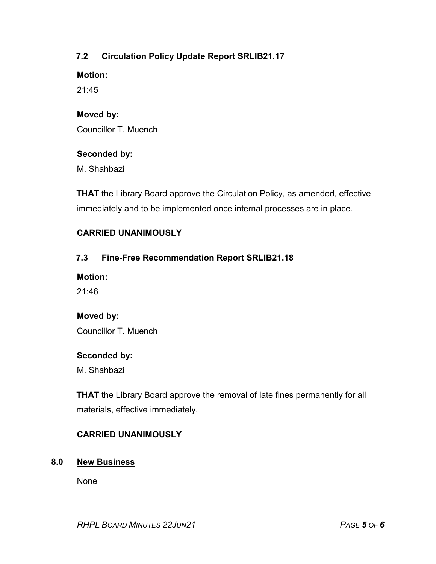# **7.2 Circulation Policy Update Report SRLIB21.17**

**Motion:** 

21:45

## **Moved by:**

Councillor T. Muench

#### **Seconded by:**

M. Shahbazi

**THAT** the Library Board approve the Circulation Policy, as amended, effective immediately and to be implemented once internal processes are in place.

## **CARRIED UNANIMOUSLY**

## **7.3 Fine-Free Recommendation Report SRLIB21.18**

**Motion:** 

21:46

## **Moved by:**

Councillor T. Muench

#### **Seconded by:**

M. Shahbazi

**THAT** the Library Board approve the removal of late fines permanently for all materials, effective immediately.

## **CARRIED UNANIMOUSLY**

#### **8.0 New Business**

None